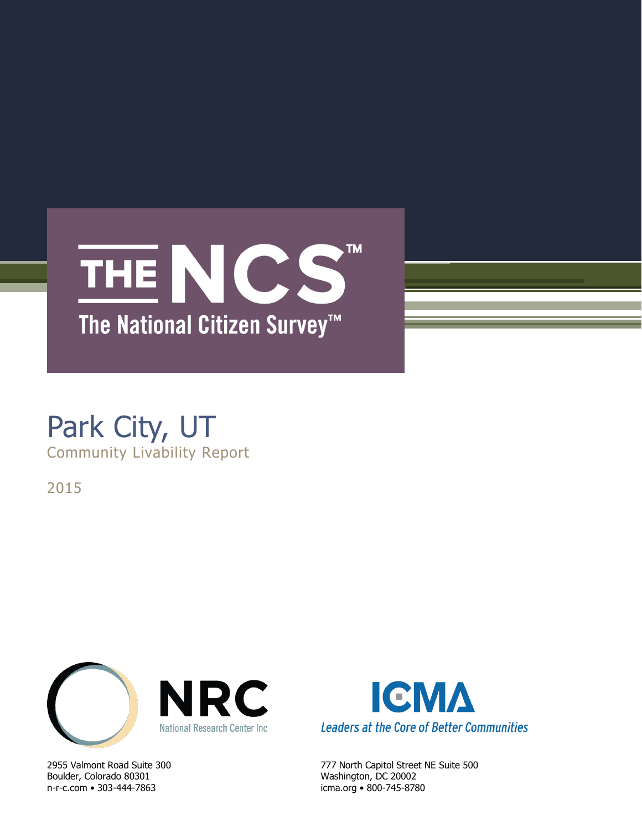

## Park City, UT Community Livability Report

2015



Boulder, Colorado 80301 Washington, DC 20002 n-r-c.com • 303-444-7863 icma.org • 800-745-8780



2955 Valmont Road Suite 300 777 North Capitol Street NE Suite 500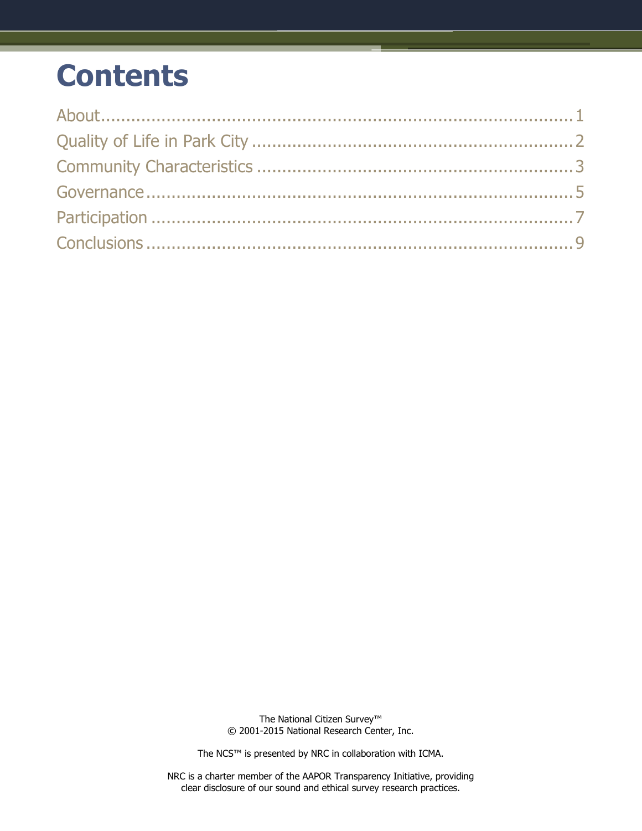# **Contents**

The National Citizen Survey™ © 2001-2015 National Research Center, Inc.

The NCS™ is presented by NRC in collaboration with ICMA.

NRC is a charter member of the AAPOR Transparency Initiative, providing clear disclosure of our sound and ethical survey research practices.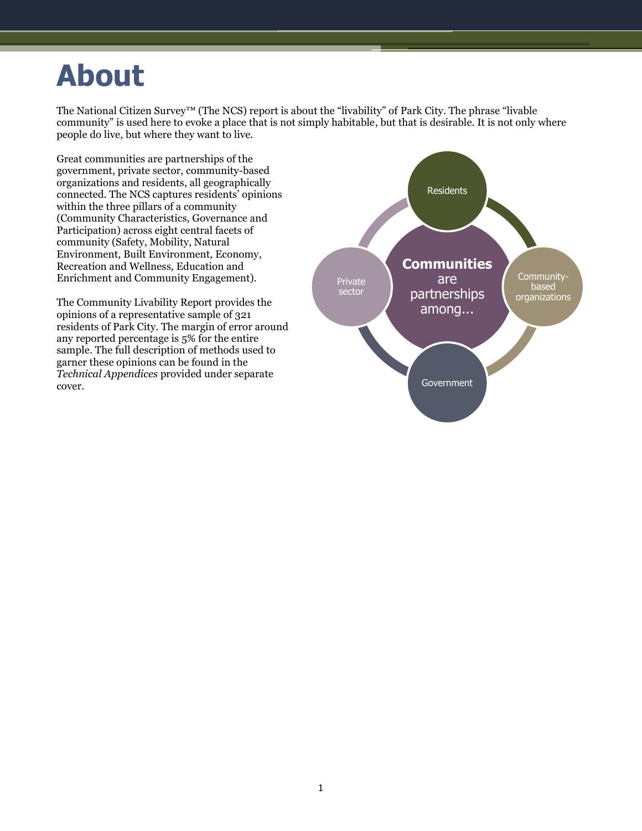# <span id="page-2-0"></span>**About**

The National Citizen Survey™ (The NCS) report is about the "livability" of Park City. The phrase "livable community" is used here to evoke a place that is not simply habitable, but that is desirable. It is not only where people do live, but where they want to live.

Great communities are partnerships of the government, private sector, community-based organizations and residents, all geographically connected. The NCS captures residents' opinions within the three pillars of a community (Community Characteristics, Governance and Participation) across eight central facets of community (Safety, Mobility, Natural Environment, Built Environment, Economy, Recreation and Wellness, Education and Enrichment and Community Engagement).

The Community Livability Report provides the opinions of a representative sample of 321 residents of Park City. The margin of error around any reported percentage is 5% for the entire sample. The full description of methods used to garner these opinions can be found in the *Technical Appendices* provided under separate cover.

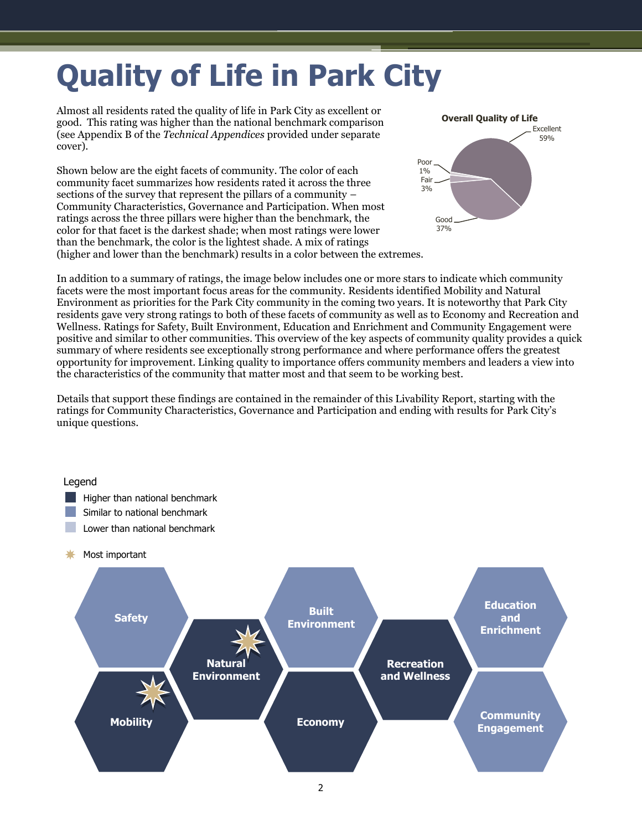# <span id="page-3-0"></span>**Quality of Life in Park City**

Almost all residents rated the quality of life in Park City as excellent or good. This rating was higher than the national benchmark comparison (see Appendix B of the *Technical Appendices* provided under separate cover).

Shown below are the eight facets of community. The color of each community facet summarizes how residents rated it across the three sections of the survey that represent the pillars of a community – Community Characteristics, Governance and Participation. When most ratings across the three pillars were higher than the benchmark, the color for that facet is the darkest shade; when most ratings were lower than the benchmark, the color is the lightest shade. A mix of ratings (higher and lower than the benchmark) results in a color between the extremes.



In addition to a summary of ratings, the image below includes one or more stars to indicate which community facets were the most important focus areas for the community. Residents identified Mobility and Natural Environment as priorities for the Park City community in the coming two years. It is noteworthy that Park City residents gave very strong ratings to both of these facets of community as well as to Economy and Recreation and Wellness. Ratings for Safety, Built Environment, Education and Enrichment and Community Engagement were positive and similar to other communities. This overview of the key aspects of community quality provides a quick summary of where residents see exceptionally strong performance and where performance offers the greatest opportunity for improvement. Linking quality to importance offers community members and leaders a view into the characteristics of the community that matter most and that seem to be working best.

Details that support these findings are contained in the remainder of this Livability Report, starting with the ratings for Community Characteristics, Governance and Participation and ending with results for Park City's unique questions.

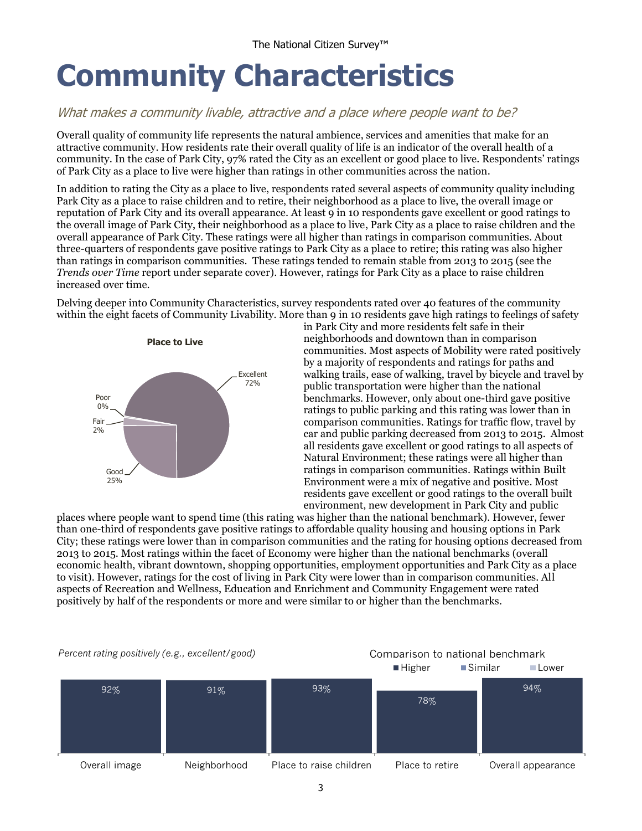# <span id="page-4-0"></span>**Community Characteristics**

### What makes a community livable, attractive and a place where people want to be?

Overall quality of community life represents the natural ambience, services and amenities that make for an attractive community. How residents rate their overall quality of life is an indicator of the overall health of a community. In the case of Park City, 97% rated the City as an excellent or good place to live. Respondents' ratings of Park City as a place to live were higher than ratings in other communities across the nation.

In addition to rating the City as a place to live, respondents rated several aspects of community quality including Park City as a place to raise children and to retire, their neighborhood as a place to live, the overall image or reputation of Park City and its overall appearance. At least 9 in 10 respondents gave excellent or good ratings to the overall image of Park City, their neighborhood as a place to live, Park City as a place to raise children and the overall appearance of Park City. These ratings were all higher than ratings in comparison communities. About three-quarters of respondents gave positive ratings to Park City as a place to retire; this rating was also higher than ratings in comparison communities. These ratings tended to remain stable from 2013 to 2015 (see the *Trends over Time* report under separate cover). However, ratings for Park City as a place to raise children increased over time.

Delving deeper into Community Characteristics, survey respondents rated over 40 features of the community within the eight facets of Community Livability. More than 9 in 10 residents gave high ratings to feelings of safety



in Park City and more residents felt safe in their neighborhoods and downtown than in comparison communities. Most aspects of Mobility were rated positively by a majority of respondents and ratings for paths and walking trails, ease of walking, travel by bicycle and travel by public transportation were higher than the national benchmarks. However, only about one-third gave positive ratings to public parking and this rating was lower than in comparison communities. Ratings for traffic flow, travel by car and public parking decreased from 2013 to 2015. Almost all residents gave excellent or good ratings to all aspects of Natural Environment; these ratings were all higher than ratings in comparison communities. Ratings within Built Environment were a mix of negative and positive. Most residents gave excellent or good ratings to the overall built environment, new development in Park City and public

places where people want to spend time (this rating was higher than the national benchmark). However, fewer than one-third of respondents gave positive ratings to affordable quality housing and housing options in Park City; these ratings were lower than in comparison communities and the rating for housing options decreased from 2013 to 2015. Most ratings within the facet of Economy were higher than the national benchmarks (overall economic health, vibrant downtown, shopping opportunities, employment opportunities and Park City as a place to visit). However, ratings for the cost of living in Park City were lower than in comparison communities. All aspects of Recreation and Wellness, Education and Enrichment and Community Engagement were rated positively by half of the respondents or more and were similar to or higher than the benchmarks.

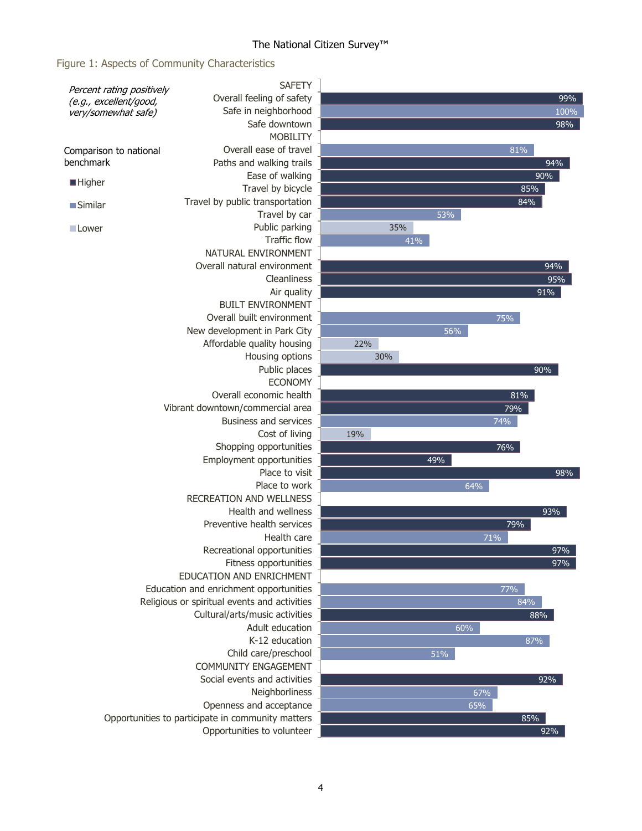#### The National Citizen Survey™

#### Figure 1: Aspects of Community Characteristics

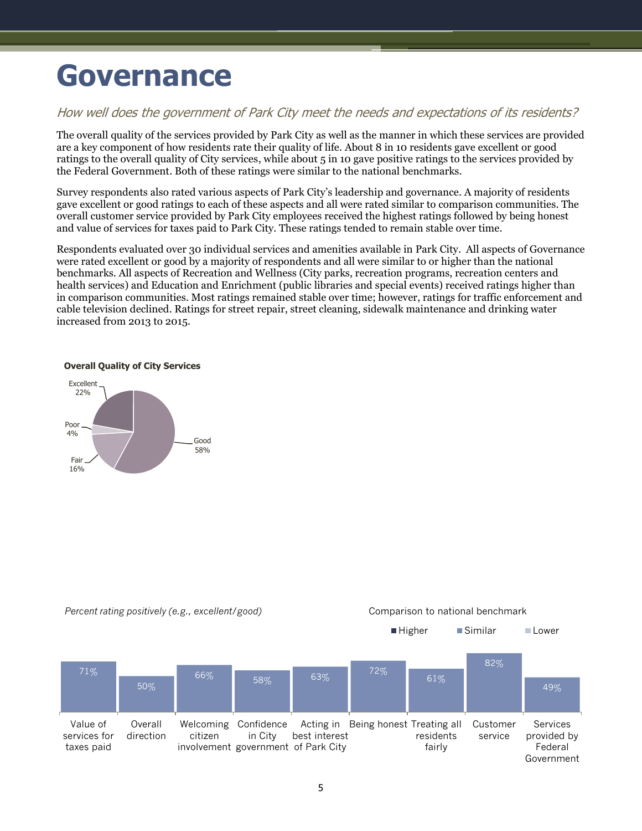# <span id="page-6-0"></span>**Governance**

### How well does the government of Park City meet the needs and expectations of its residents?

The overall quality of the services provided by Park City as well as the manner in which these services are provided are a key component of how residents rate their quality of life. About 8 in 10 residents gave excellent or good ratings to the overall quality of City services, while about 5 in 10 gave positive ratings to the services provided by the Federal Government. Both of these ratings were similar to the national benchmarks.

Survey respondents also rated various aspects of Park City's leadership and governance. A majority of residents gave excellent or good ratings to each of these aspects and all were rated similar to comparison communities. The overall customer service provided by Park City employees received the highest ratings followed by being honest and value of services for taxes paid to Park City. These ratings tended to remain stable over time.

Respondents evaluated over 30 individual services and amenities available in Park City. All aspects of Governance were rated excellent or good by a majority of respondents and all were similar to or higher than the national benchmarks. All aspects of Recreation and Wellness (City parks, recreation programs, recreation centers and health services) and Education and Enrichment (public libraries and special events) received ratings higher than in comparison communities. Most ratings remained stable over time; however, ratings for traffic enforcement and cable television declined. Ratings for street repair, street cleaning, sidewalk maintenance and drinking water increased from 2013 to 2015.



**Overall Quality of City Services**



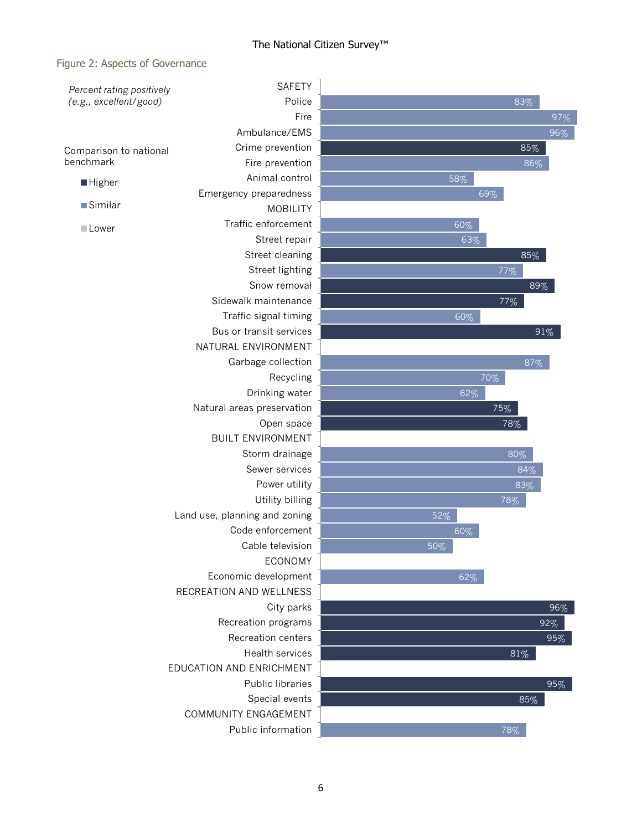#### The National Citizen Survey™

#### Figure 2: Aspects of Governance

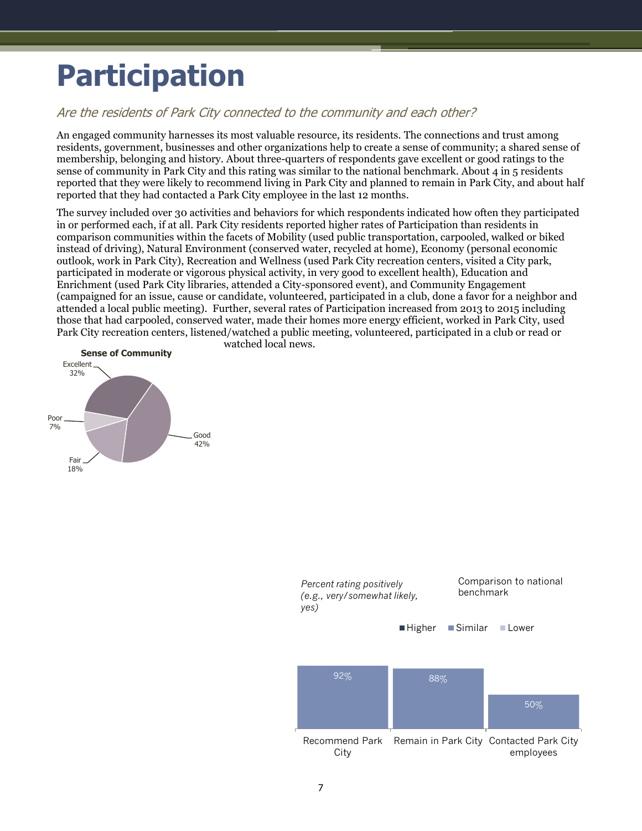# <span id="page-8-0"></span>**Participation**

### Are the residents of Park City connected to the community and each other?

An engaged community harnesses its most valuable resource, its residents. The connections and trust among residents, government, businesses and other organizations help to create a sense of community; a shared sense of membership, belonging and history. About three-quarters of respondents gave excellent or good ratings to the sense of community in Park City and this rating was similar to the national benchmark. About 4 in 5 residents reported that they were likely to recommend living in Park City and planned to remain in Park City, and about half reported that they had contacted a Park City employee in the last 12 months.

The survey included over 30 activities and behaviors for which respondents indicated how often they participated in or performed each, if at all. Park City residents reported higher rates of Participation than residents in comparison communities within the facets of Mobility (used public transportation, carpooled, walked or biked instead of driving), Natural Environment (conserved water, recycled at home), Economy (personal economic outlook, work in Park City), Recreation and Wellness (used Park City recreation centers, visited a City park, participated in moderate or vigorous physical activity, in very good to excellent health), Education and Enrichment (used Park City libraries, attended a City-sponsored event), and Community Engagement (campaigned for an issue, cause or candidate, volunteered, participated in a club, done a favor for a neighbor and attended a local public meeting). Further, several rates of Participation increased from 2013 to 2015 including those that had carpooled, conserved water, made their homes more energy efficient, worked in Park City, used Park City recreation centers, listened/watched a public meeting, volunteered, participated in a club or read or watched local news.



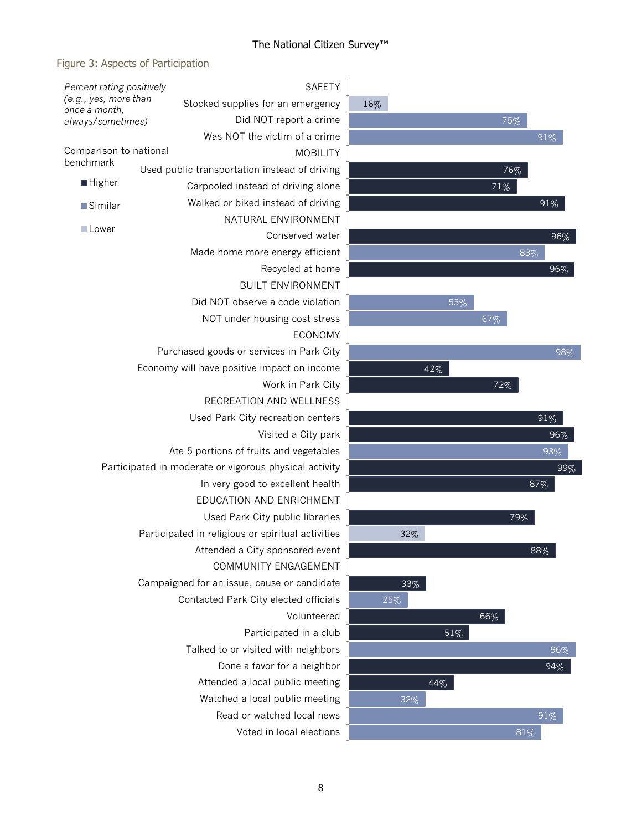### The National Citizen Survey™

### Figure 3: Aspects of Participation

| Percent rating positively                                      |  |                                                   | <b>SAFETY</b>   |     |     |     |                 |
|----------------------------------------------------------------|--|---------------------------------------------------|-----------------|-----|-----|-----|-----------------|
| (e.g., yes, more than<br>once a month,                         |  | Stocked supplies for an emergency                 |                 | 16% |     |     |                 |
| always/sometimes)                                              |  | Did NOT report a crime                            |                 |     |     | 75% |                 |
|                                                                |  | Was NOT the victim of a crime                     |                 |     |     |     | 91%             |
| Comparison to national                                         |  |                                                   | <b>MOBILITY</b> |     |     |     |                 |
| benchmark                                                      |  | Used public transportation instead of driving     |                 |     |     | 76% |                 |
| <b>Higher</b>                                                  |  | Carpooled instead of driving alone                |                 |     |     | 71% |                 |
| ■Similar                                                       |  | Walked or biked instead of driving                |                 |     |     |     | 91%             |
| <b>■Lower</b>                                                  |  | NATURAL ENVIRONMENT                               |                 |     |     |     |                 |
|                                                                |  | Conserved water                                   |                 |     |     |     | 96              |
|                                                                |  | Made home more energy efficient                   |                 |     |     |     | 83%             |
|                                                                |  | Recycled at home                                  |                 |     |     |     | 96 <sup>o</sup> |
|                                                                |  | <b>BUILT ENVIRONMENT</b>                          |                 |     |     |     |                 |
|                                                                |  | Did NOT observe a code violation                  |                 |     | 53% |     |                 |
|                                                                |  | NOT under housing cost stress                     |                 |     |     | 67% |                 |
|                                                                |  |                                                   | <b>ECONOMY</b>  |     |     |     |                 |
|                                                                |  | Purchased goods or services in Park City          |                 |     |     |     | 96              |
|                                                                |  | Economy will have positive impact on income       |                 |     | 42% |     |                 |
|                                                                |  | Work in Park City                                 |                 |     |     | 72% |                 |
|                                                                |  | RECREATION AND WELLNESS                           |                 |     |     |     |                 |
|                                                                |  | Used Park City recreation centers                 |                 |     |     |     | 91%             |
| Visited a City park<br>Ate 5 portions of fruits and vegetables |  |                                                   |                 |     |     | 96  |                 |
|                                                                |  |                                                   |                 |     |     |     | 93%             |
| Participated in moderate or vigorous physical activity         |  |                                                   |                 |     |     |     | 9               |
|                                                                |  | In very good to excellent health                  |                 |     |     |     | 87%             |
|                                                                |  | EDUCATION AND ENRICHMENT                          |                 |     |     |     |                 |
|                                                                |  | Used Park City public libraries                   |                 |     |     | 79% |                 |
|                                                                |  | Participated in religious or spiritual activities |                 | 32% |     |     |                 |
|                                                                |  | Attended a City-sponsored event                   |                 |     |     |     | 88%             |
|                                                                |  | COMMUNITY ENGAGEMENT                              |                 |     |     |     |                 |
|                                                                |  | Campaigned for an issue, cause or candidate       |                 | 33% |     |     |                 |
|                                                                |  | Contacted Park City elected officials             |                 | 25% |     |     |                 |
|                                                                |  |                                                   | Volunteered     |     |     | 66% |                 |
|                                                                |  | Participated in a club                            |                 |     | 51% |     |                 |
|                                                                |  | Talked to or visited with neighbors               |                 |     |     |     | 96 <sup>°</sup> |
| Done a favor for a neighbor                                    |  |                                                   |                 |     | 94% |     |                 |
|                                                                |  | Attended a local public meeting                   |                 |     | 44% |     |                 |
|                                                                |  | Watched a local public meeting                    |                 | 32% |     |     |                 |
|                                                                |  | Read or watched local news                        |                 |     |     |     | $91\%$          |
|                                                                |  | Voted in local elections                          |                 |     |     | 81% |                 |

94%

96%

99%

96% 91%

93%

96%

98%

96%

91%